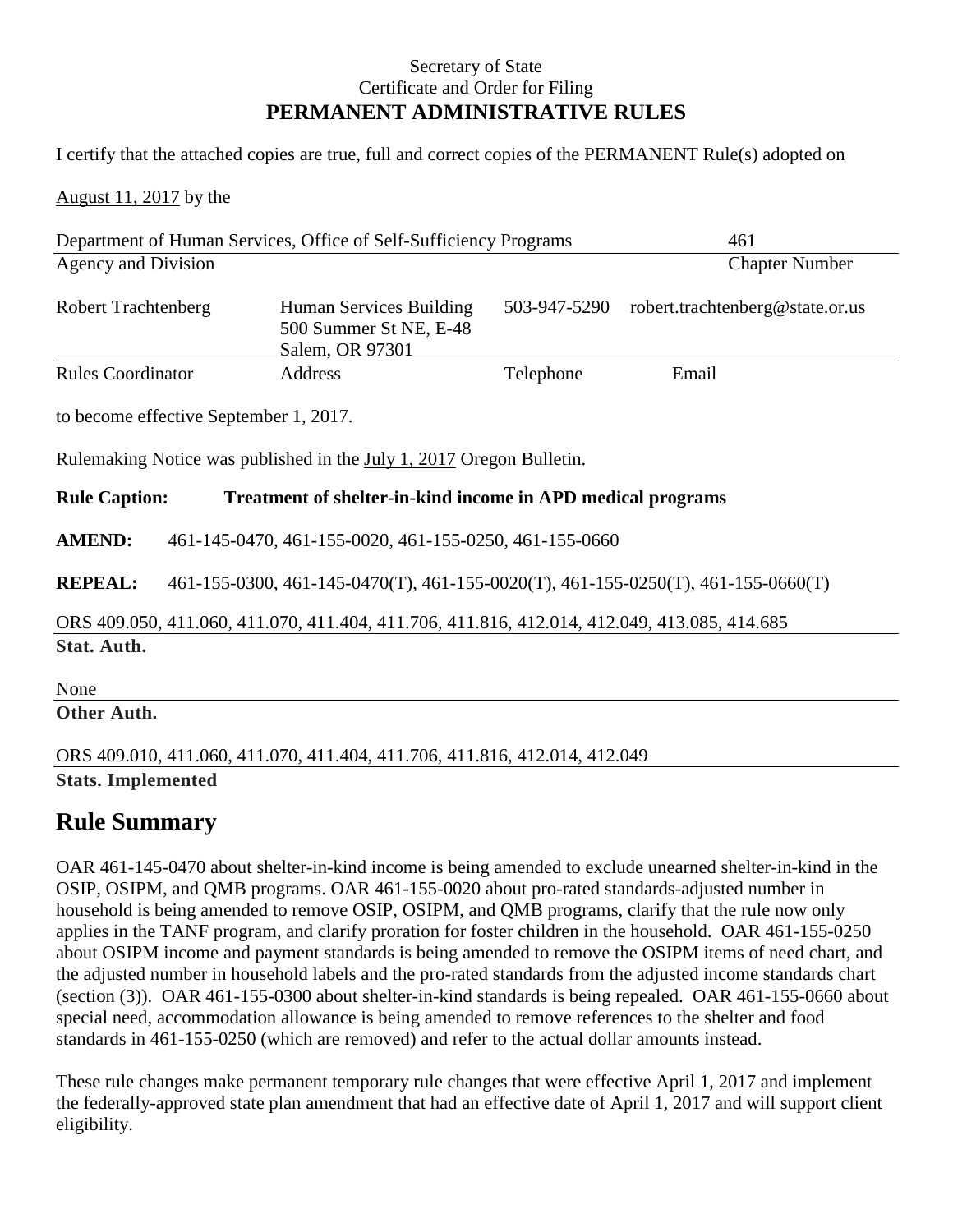## Secretary of State Certificate and Order for Filing **PERMANENT ADMINISTRATIVE RULES**

I certify that the attached copies are true, full and correct copies of the PERMANENT Rule(s) adopted on

August 11, 2017 by the

|                                                                                              | Department of Human Services, Office of Self-Sufficiency Programs                | 461                                                                        |              |                                 |  |  |  |
|----------------------------------------------------------------------------------------------|----------------------------------------------------------------------------------|----------------------------------------------------------------------------|--------------|---------------------------------|--|--|--|
| Agency and Division                                                                          |                                                                                  | <b>Chapter Number</b>                                                      |              |                                 |  |  |  |
| <b>Robert Trachtenberg</b>                                                                   |                                                                                  | Human Services Building<br>500 Summer St NE, E-48<br>Salem, OR 97301       | 503-947-5290 | robert.trachtenberg@state.or.us |  |  |  |
| <b>Rules Coordinator</b>                                                                     |                                                                                  | Address                                                                    | Telephone    | Email                           |  |  |  |
|                                                                                              | to become effective September 1, 2017.                                           |                                                                            |              |                                 |  |  |  |
| Rulemaking Notice was published in the July 1, 2017 Oregon Bulletin.                         |                                                                                  |                                                                            |              |                                 |  |  |  |
| <b>Rule Caption:</b><br>Treatment of shelter-in-kind income in APD medical programs          |                                                                                  |                                                                            |              |                                 |  |  |  |
| <b>AMEND:</b>                                                                                | 461-145-0470, 461-155-0020, 461-155-0250, 461-155-0660                           |                                                                            |              |                                 |  |  |  |
| <b>REPEAL:</b>                                                                               | 461-155-0300, 461-145-0470(T), 461-155-0020(T), 461-155-0250(T), 461-155-0660(T) |                                                                            |              |                                 |  |  |  |
| ORS 409.050, 411.060, 411.070, 411.404, 411.706, 411.816, 412.014, 412.049, 413.085, 414.685 |                                                                                  |                                                                            |              |                                 |  |  |  |
| Stat. Auth.                                                                                  |                                                                                  |                                                                            |              |                                 |  |  |  |
| None                                                                                         |                                                                                  |                                                                            |              |                                 |  |  |  |
| Other Auth.                                                                                  |                                                                                  |                                                                            |              |                                 |  |  |  |
|                                                                                              |                                                                                  | ORS 409.010, 411.060, 411.070, 411.404, 411.706, 411.816, 412.014, 412.049 |              |                                 |  |  |  |

**Stats. Implemented**

# **Rule Summary**

OAR 461-145-0470 about shelter-in-kind income is being amended to exclude unearned shelter-in-kind in the OSIP, OSIPM, and QMB programs. OAR 461-155-0020 about pro-rated standards-adjusted number in household is being amended to remove OSIP, OSIPM, and QMB programs, clarify that the rule now only applies in the TANF program, and clarify proration for foster children in the household. OAR 461-155-0250 about OSIPM income and payment standards is being amended to remove the OSIPM items of need chart, and the adjusted number in household labels and the pro-rated standards from the adjusted income standards chart (section (3)). OAR 461-155-0300 about shelter-in-kind standards is being repealed. OAR 461-155-0660 about special need, accommodation allowance is being amended to remove references to the shelter and food standards in 461-155-0250 (which are removed) and refer to the actual dollar amounts instead.

These rule changes make permanent temporary rule changes that were effective April 1, 2017 and implement the federally-approved state plan amendment that had an effective date of April 1, 2017 and will support client eligibility.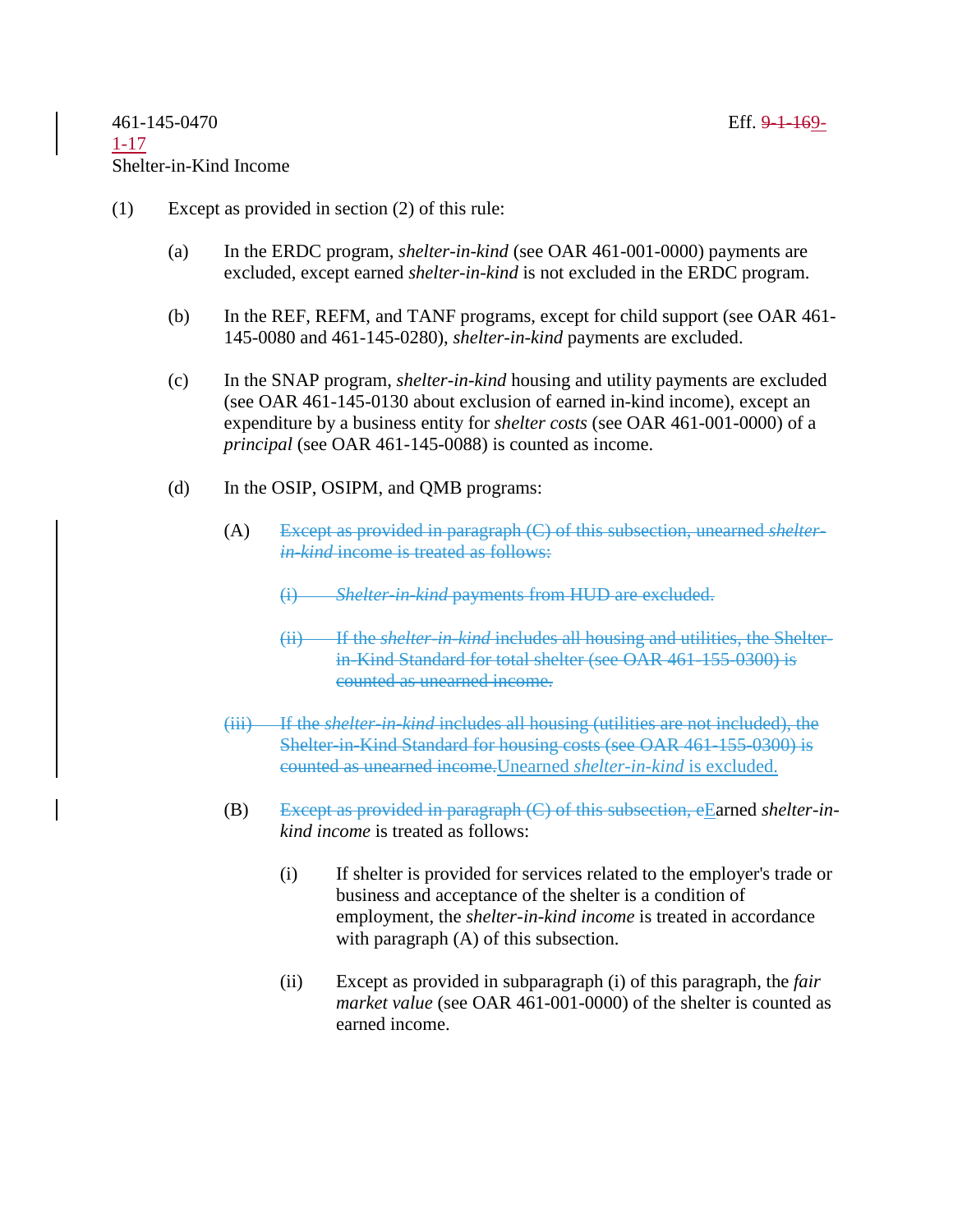- (1) Except as provided in section (2) of this rule:
	- (a) In the ERDC program, *shelter-in-kind* (see OAR 461-001-0000) payments are excluded, except earned *shelter-in-kind* is not excluded in the ERDC program.
	- (b) In the REF, REFM, and TANF programs, except for child support (see OAR 461- 145-0080 and 461-145-0280), *shelter-in-kind* payments are excluded.
	- (c) In the SNAP program, *shelter-in-kind* housing and utility payments are excluded (see OAR 461-145-0130 about exclusion of earned in-kind income), except an expenditure by a business entity for *shelter costs* (see OAR 461-001-0000) of a *principal* (see OAR 461-145-0088) is counted as income.
	- (d) In the OSIP, OSIPM, and QMB programs:
		- (A) Except as provided in paragraph (C) of this subsection, unearned *shelterin-kind* income is treated as follows:
			- (i) *Shelter-in-kind* payments from HUD are excluded.
			- (ii) If the *shelter-in-kind* includes all housing and utilities, the Shelterin-Kind Standard for total shelter (see OAR 461-155-0300) is counted as unearned income.
		- (iii) If the *shelter-in-kind* includes all housing (utilities are not included), the Shelter-in-Kind Standard for housing costs (see OAR 461-155-0300) is counted as unearned income.Unearned *shelter-in-kind* is excluded.
		- (B) Except as provided in paragraph (C) of this subsection, eEarned *shelter-inkind income* is treated as follows:
			- (i) If shelter is provided for services related to the employer's trade or business and acceptance of the shelter is a condition of employment, the *shelter-in-kind income* is treated in accordance with paragraph  $(A)$  of this subsection.
			- (ii) Except as provided in subparagraph (i) of this paragraph, the *fair market value* (see OAR 461-001-0000) of the shelter is counted as earned income.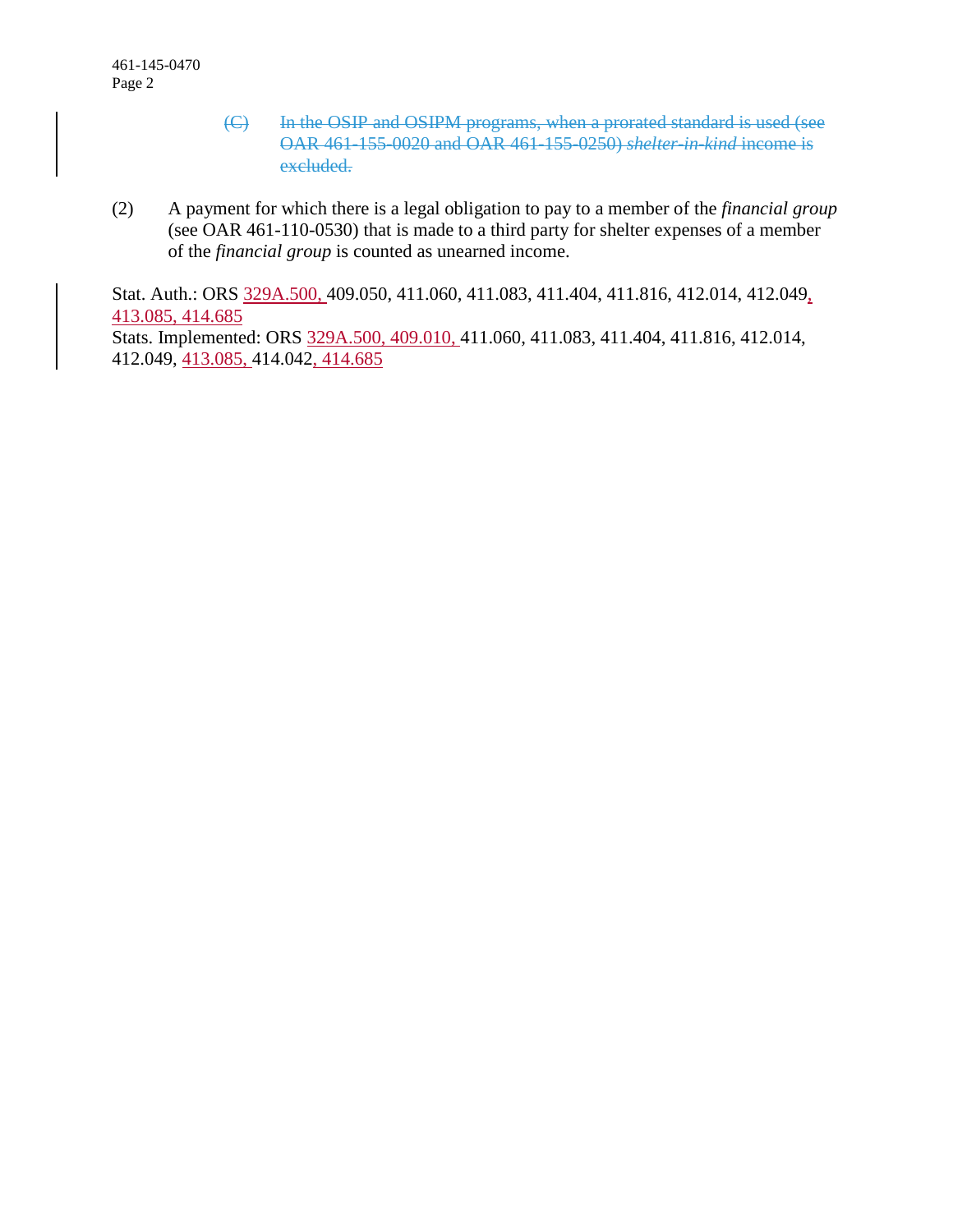- (C) In the OSIP and OSIPM programs, when a prorated standard is used (see OAR 461-155-0020 and OAR 461-155-0250) *shelter-in-kind* income is excluded.
- (2) A payment for which there is a legal obligation to pay to a member of the *financial group* (see OAR 461-110-0530) that is made to a third party for shelter expenses of a member of the *financial group* is counted as unearned income.

Stat. Auth.: ORS 329A.500, 409.050, 411.060, 411.083, 411.404, 411.816, 412.014, 412.049, 413.085, 414.685 Stats. Implemented: ORS 329A.500, 409.010, 411.060, 411.083, 411.404, 411.816, 412.014, 412.049, 413.085, 414.042, 414.685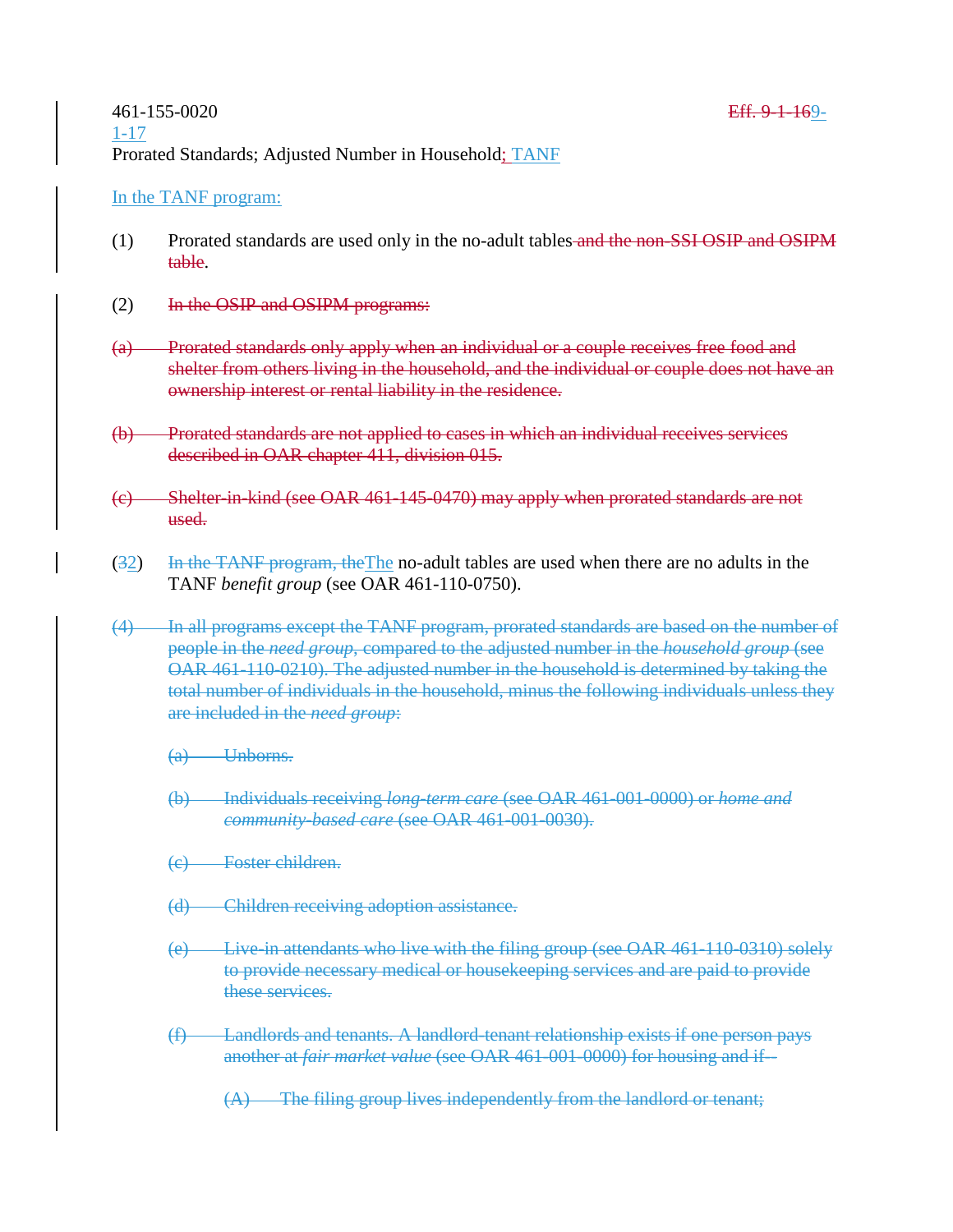### In the TANF program:

- (1) Prorated standards are used only in the no-adult tables and the non-SSI OSIP and OSIPM table.
- (2) In the OSIP and OSIPM programs:
- (a) Prorated standards only apply when an individual or a couple receives free food and shelter from others living in the household, and the individual or couple does not have an ownership interest or rental liability in the residence.
- (b) Prorated standards are not applied to cases in which an individual receives services described in OAR chapter 411, division 015.
- (c) Shelter-in-kind (see OAR 461-145-0470) may apply when prorated standards are not used.
- (32) In the TANF program, the The no-adult tables are used when there are no adults in the TANF *benefit group* (see OAR 461-110-0750).
- (4) In all programs except the TANF program, prorated standards are based on the number of people in the *need group*, compared to the adjusted number in the *household group* (see OAR 461-110-0210). The adjusted number in the household is determined by taking the total number of individuals in the household, minus the following individuals unless they are included in the *need group*:
	- (a) Unborns.
	- (b) Individuals receiving *long-term care* (see OAR 461-001-0000) or *home and community-based care* (see OAR 461-001-0030).
	- (c) Foster children.
	- (d) Children receiving adoption assistance.
	- (e) Live-in attendants who live with the filing group (see OAR 461-110-0310) solely to provide necessary medical or housekeeping services and are paid to provide these services.
	- (f) Landlords and tenants. A landlord-tenant relationship exists if one person pays another at *fair market value* (see OAR 461-001-0000) for housing and if--
		- (A) The filing group lives independently from the landlord or tenant;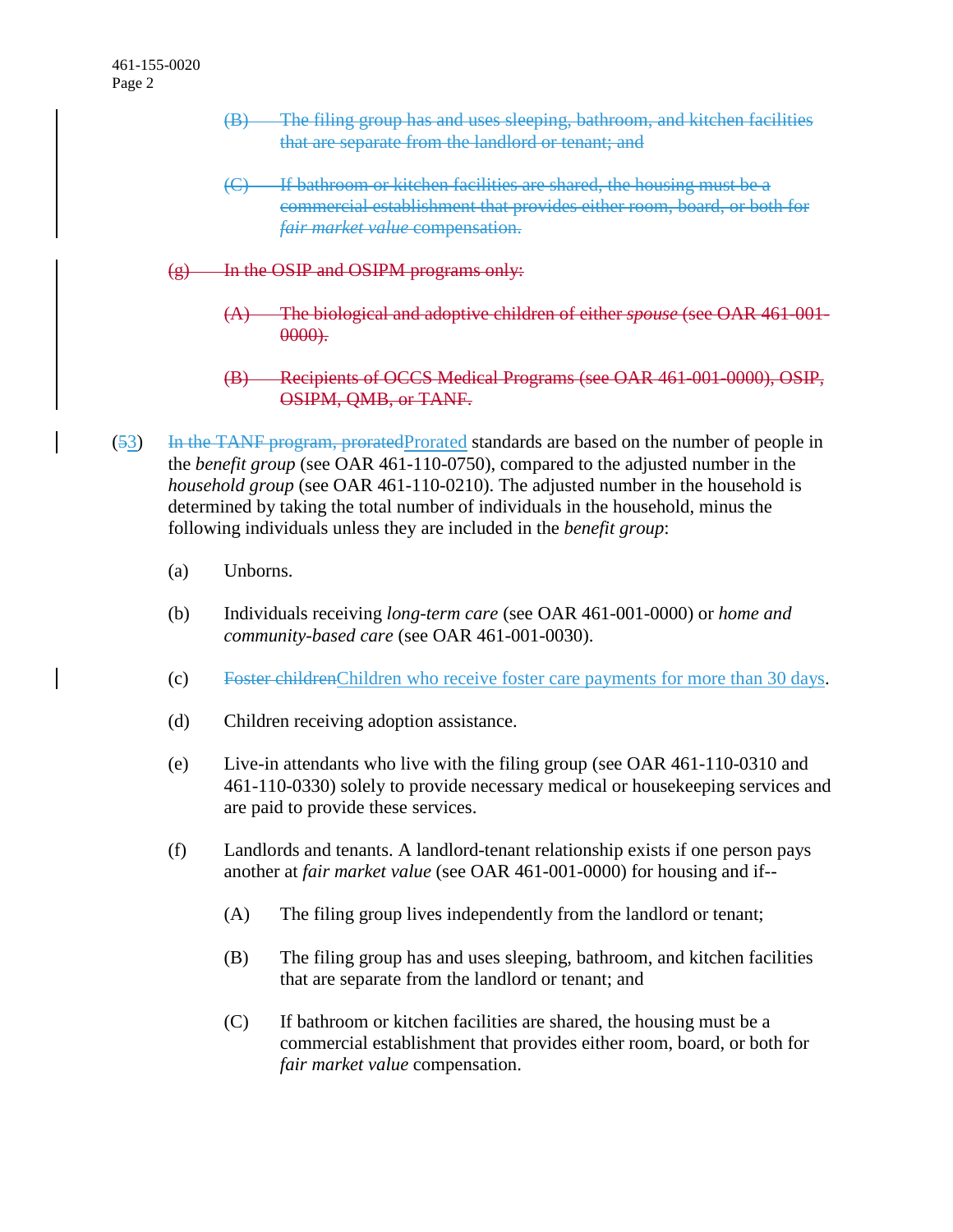- (B) The filing group has and uses sleeping, bathroom, and kitchen facilities that are separate from the landlord or tenant; and
- (C) If bathroom or kitchen facilities are shared, the housing must be a commercial establishment that provides either room, board, or both for *fair market value* compensation.
- $(g)$  In the OSIP and OSIPM programs only:
	- (A) The biological and adoptive children of either *spouse* (see OAR 461-001- 0000).
	- Recipients of OCCS Medical Programs (see OAR 461-001-0000), OSIP, OSIPM, QMB, or TANF.
- (53) In the TANF program, proratedProrated standards are based on the number of people in the *benefit group* (see OAR 461-110-0750), compared to the adjusted number in the *household group* (see OAR 461-110-0210). The adjusted number in the household is determined by taking the total number of individuals in the household, minus the following individuals unless they are included in the *benefit group*:
	- (a) Unborns.
	- (b) Individuals receiving *long-term care* (see OAR 461-001-0000) or *home and community-based care* (see OAR 461-001-0030).
	- (c) Foster childrenChildren who receive foster care payments for more than 30 days.
	- (d) Children receiving adoption assistance.
	- (e) Live-in attendants who live with the filing group (see OAR 461-110-0310 and 461-110-0330) solely to provide necessary medical or housekeeping services and are paid to provide these services.
	- (f) Landlords and tenants. A landlord-tenant relationship exists if one person pays another at *fair market value* (see OAR 461-001-0000) for housing and if--
		- (A) The filing group lives independently from the landlord or tenant;
		- (B) The filing group has and uses sleeping, bathroom, and kitchen facilities that are separate from the landlord or tenant; and
		- (C) If bathroom or kitchen facilities are shared, the housing must be a commercial establishment that provides either room, board, or both for *fair market value* compensation.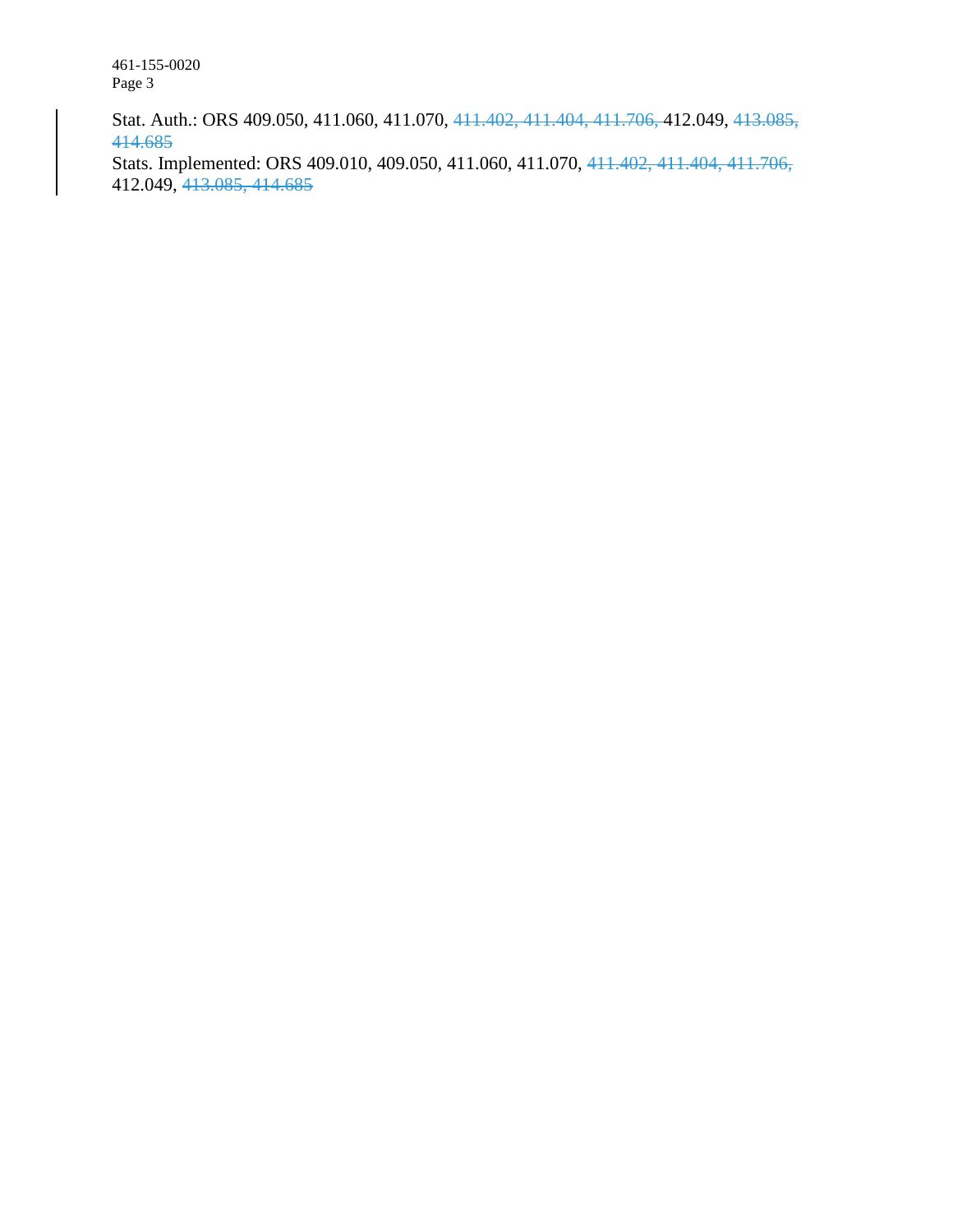461-155-0020 Page 3

Stat. Auth.: ORS 409.050, 411.060, 411.070, 411.402, 411.404, 411.706, 412.049, 413.085, 414.685

Stats. Implemented: ORS 409.010, 409.050, 411.060, 411.070, 411.402, 411.404, 411.706, 412.049, 413.085, 414.685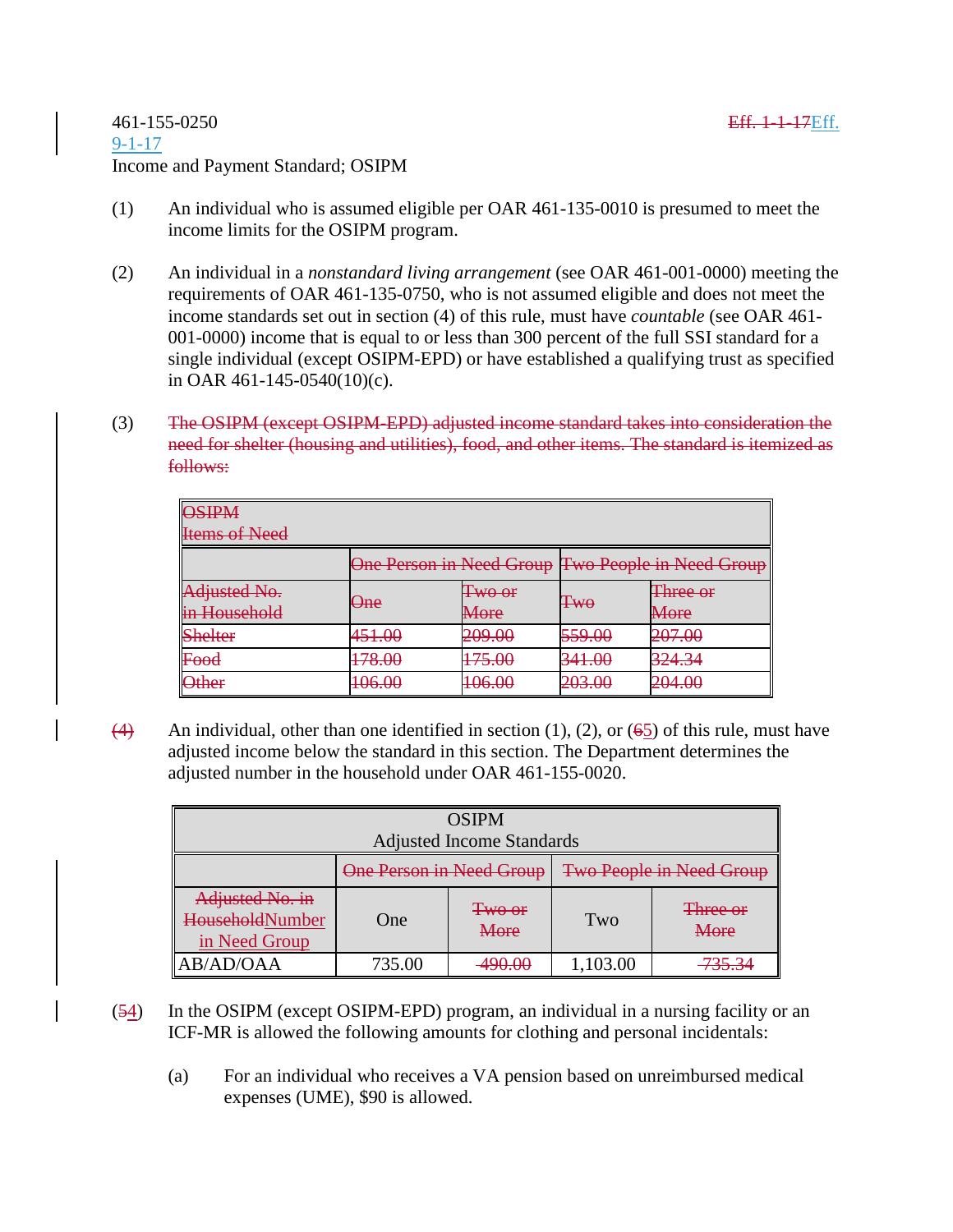- (1) An individual who is assumed eligible per OAR 461-135-0010 is presumed to meet the income limits for the OSIPM program.
- (2) An individual in a *nonstandard living arrangement* (see OAR 461-001-0000) meeting the requirements of OAR 461-135-0750, who is not assumed eligible and does not meet the income standards set out in section (4) of this rule, must have *countable* (see OAR 461- 001-0000) income that is equal to or less than 300 percent of the full SSI standard for a single individual (except OSIPM-EPD) or have established a qualifying trust as specified in OAR 461-145-0540(10)(c).
- (3) The OSIPM (except OSIPM-EPD) adjusted income standard takes into consideration the need for shelter (housing and utilities), food, and other items. The standard is itemized as follows:

| <b>ACIDM</b><br><del>von a</del> vi |                                                   |                            |                            |                                     |  |  |  |  |  |
|-------------------------------------|---------------------------------------------------|----------------------------|----------------------------|-------------------------------------|--|--|--|--|--|
| <b>Items of Need</b>                |                                                   |                            |                            |                                     |  |  |  |  |  |
|                                     | One Person in Need Group Two People in Need Group |                            |                            |                                     |  |  |  |  |  |
| Adjusted No.                        | One                                               | $Two$ or                   | $Tw\sigma$                 | Three or                            |  |  |  |  |  |
| in Household                        |                                                   | More                       |                            | $M$ oro<br>moro                     |  |  |  |  |  |
| <b>Shelter</b>                      | 451.00                                            | 209.00                     | 559.00                     | 207.00<br><del>∠∪7.∪∪</del>         |  |  |  |  |  |
| Food<br><del>rwu</del>              | 78.OC<br>$\textcolor{red}{\textbf{170.00}}$       | 75.OO<br><del>17J.VU</del> | 341 M<br><del>JTI.VV</del> | 27 <i>A 2A</i><br><del>JZ1.J4</del> |  |  |  |  |  |
| <b>Other</b>                        | 1በሬ በበ<br>100.00                                  | 1በሬ በበ<br>100.00           | ററാ ററ<br>20J.OU           | ാവ സ<br>$-0.00$                     |  |  |  |  |  |

(4) An individual, other than one identified in section (1), (2), or (65) of this rule, must have adjusted income below the standard in this section. The Department determines the adjusted number in the household under OAR 461-155-0020.

| <b>OSIPM</b>                                        |                          |                       |                          |                         |  |  |  |  |
|-----------------------------------------------------|--------------------------|-----------------------|--------------------------|-------------------------|--|--|--|--|
| <b>Adjusted Income Standards</b>                    |                          |                       |                          |                         |  |  |  |  |
|                                                     | One Person in Need Group |                       | Two People in Need Group |                         |  |  |  |  |
| Adjusted No. in<br>HouseholdNumber<br>in Need Group | One                      | <b>Two or</b><br>More | Two                      | <b>Three or</b><br>More |  |  |  |  |
| AB/AD/OAA                                           | 735.00                   | <del>,,,,,,,,</del>   | 1,103.00                 | 725.27<br><u>JJ.J</u>   |  |  |  |  |

- (54) In the OSIPM (except OSIPM-EPD) program, an individual in a nursing facility or an ICF-MR is allowed the following amounts for clothing and personal incidentals:
	- (a) For an individual who receives a VA pension based on unreimbursed medical expenses (UME), \$90 is allowed.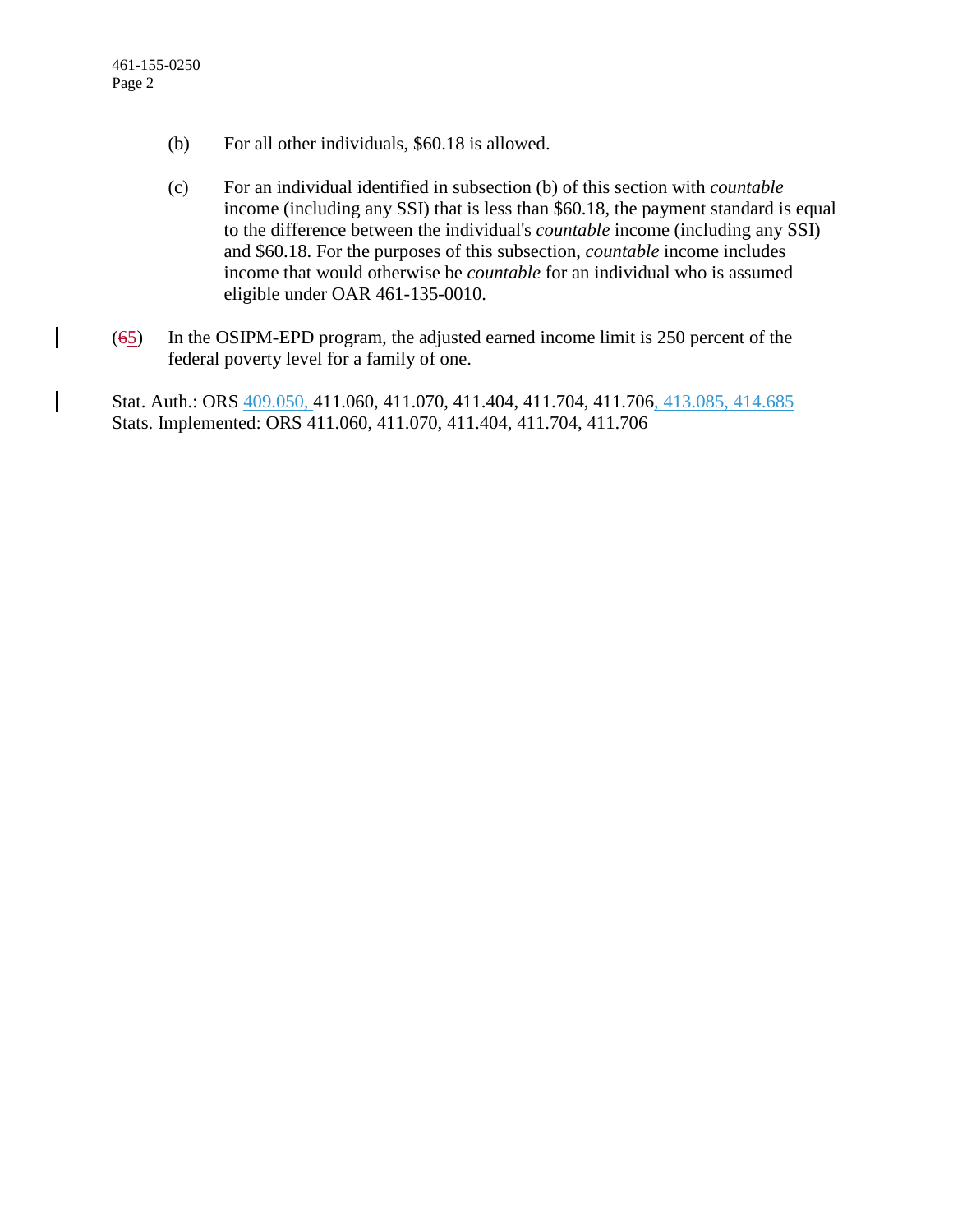- (b) For all other individuals, \$60.18 is allowed.
- (c) For an individual identified in subsection (b) of this section with *countable* income (including any SSI) that is less than \$60.18, the payment standard is equal to the difference between the individual's *countable* income (including any SSI) and \$60.18. For the purposes of this subsection, *countable* income includes income that would otherwise be *countable* for an individual who is assumed eligible under OAR 461-135-0010.
- (65) In the OSIPM-EPD program, the adjusted earned income limit is 250 percent of the federal poverty level for a family of one.

Stat. Auth.: ORS 409.050, 411.060, 411.070, 411.404, 411.704, 411.706, 413.085, 414.685 Stats. Implemented: ORS 411.060, 411.070, 411.404, 411.704, 411.706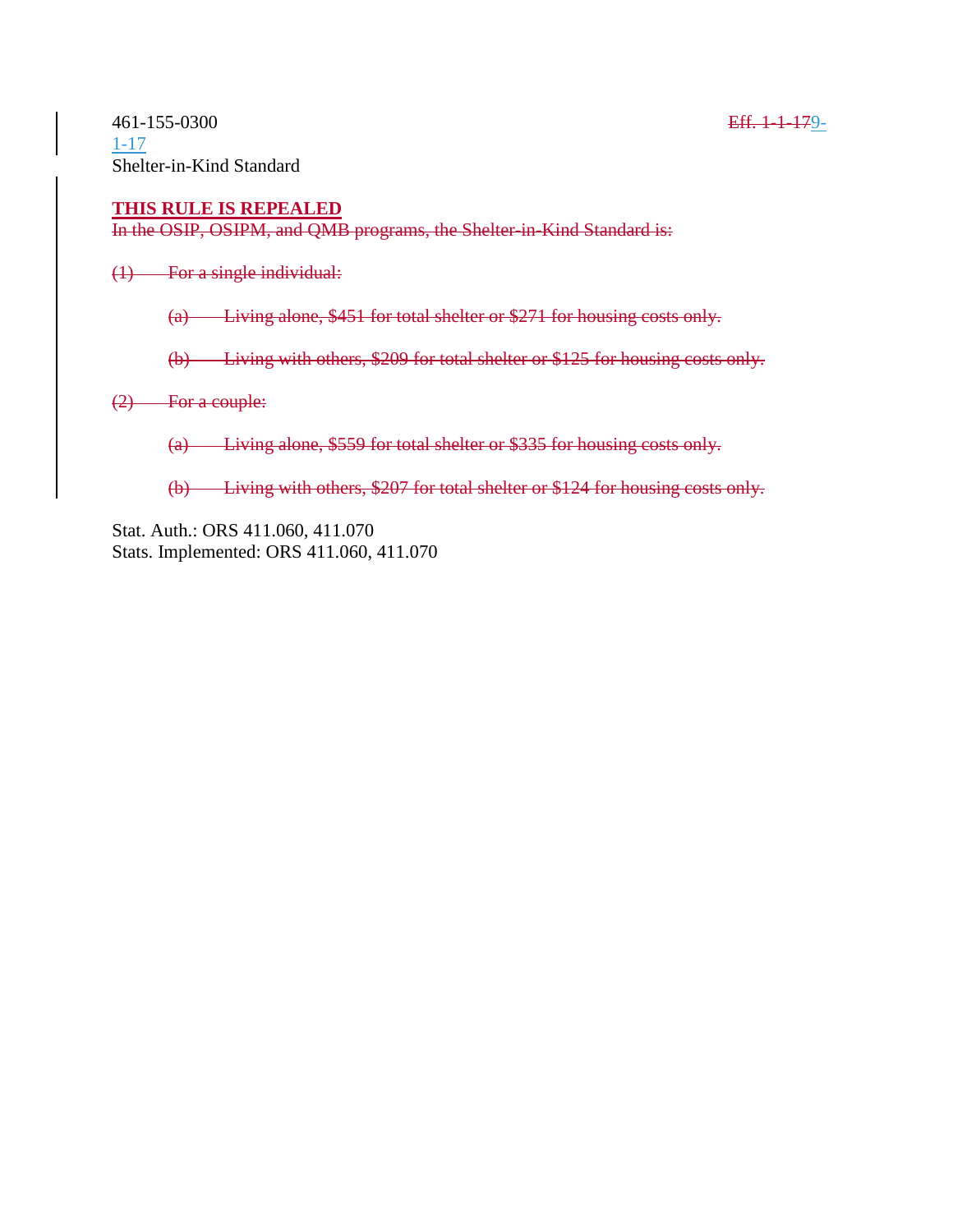#### **THIS RULE IS REPEALED**

In the OSIP, OSIPM, and QMB programs, the Shelter-in-Kind Standard is:

(1) For a single individual:

(a) Living alone, \$451 for total shelter or \$271 for housing costs only.

(b) Living with others, \$209 for total shelter or \$125 for housing costs only.

(2) For a couple:

(a) Living alone, \$559 for total shelter or \$335 for housing costs only.

(b) Living with others, \$207 for total shelter or \$124 for housing costs only.

Stat. Auth.: ORS 411.060, 411.070 Stats. Implemented: ORS 411.060, 411.070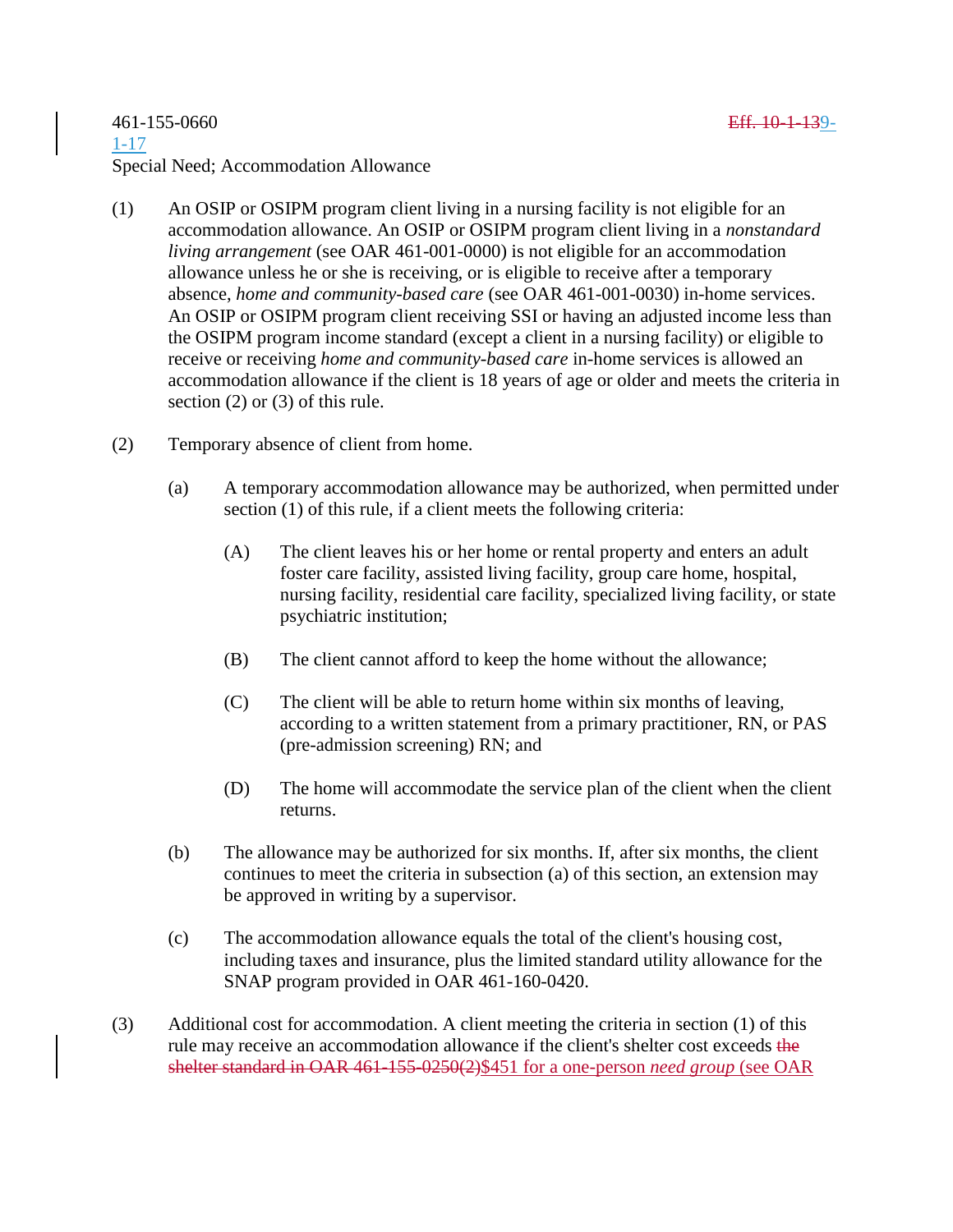### 461-155-0660 Eff. 10-1-139- 1-17 Special Need; Accommodation Allowance

- (1) An OSIP or OSIPM program client living in a nursing facility is not eligible for an accommodation allowance. An OSIP or OSIPM program client living in a *nonstandard living arrangement* (see OAR 461-001-0000) is not eligible for an accommodation allowance unless he or she is receiving, or is eligible to receive after a temporary absence, *home and community-based care* (see OAR 461-001-0030) in-home services. An OSIP or OSIPM program client receiving SSI or having an adjusted income less than the OSIPM program income standard (except a client in a nursing facility) or eligible to receive or receiving *home and community-based care* in-home services is allowed an accommodation allowance if the client is 18 years of age or older and meets the criteria in section (2) or (3) of this rule.
- (2) Temporary absence of client from home.
	- (a) A temporary accommodation allowance may be authorized, when permitted under section (1) of this rule, if a client meets the following criteria:
		- (A) The client leaves his or her home or rental property and enters an adult foster care facility, assisted living facility, group care home, hospital, nursing facility, residential care facility, specialized living facility, or state psychiatric institution;
		- (B) The client cannot afford to keep the home without the allowance;
		- (C) The client will be able to return home within six months of leaving, according to a written statement from a primary practitioner, RN, or PAS (pre-admission screening) RN; and
		- (D) The home will accommodate the service plan of the client when the client returns.
	- (b) The allowance may be authorized for six months. If, after six months, the client continues to meet the criteria in subsection (a) of this section, an extension may be approved in writing by a supervisor.
	- (c) The accommodation allowance equals the total of the client's housing cost, including taxes and insurance, plus the limited standard utility allowance for the SNAP program provided in OAR 461-160-0420.
- (3) Additional cost for accommodation. A client meeting the criteria in section (1) of this rule may receive an accommodation allowance if the client's shelter cost exceeds the shelter standard in OAR 461-155-0250(2)\$451 for a one-person *need group* (see OAR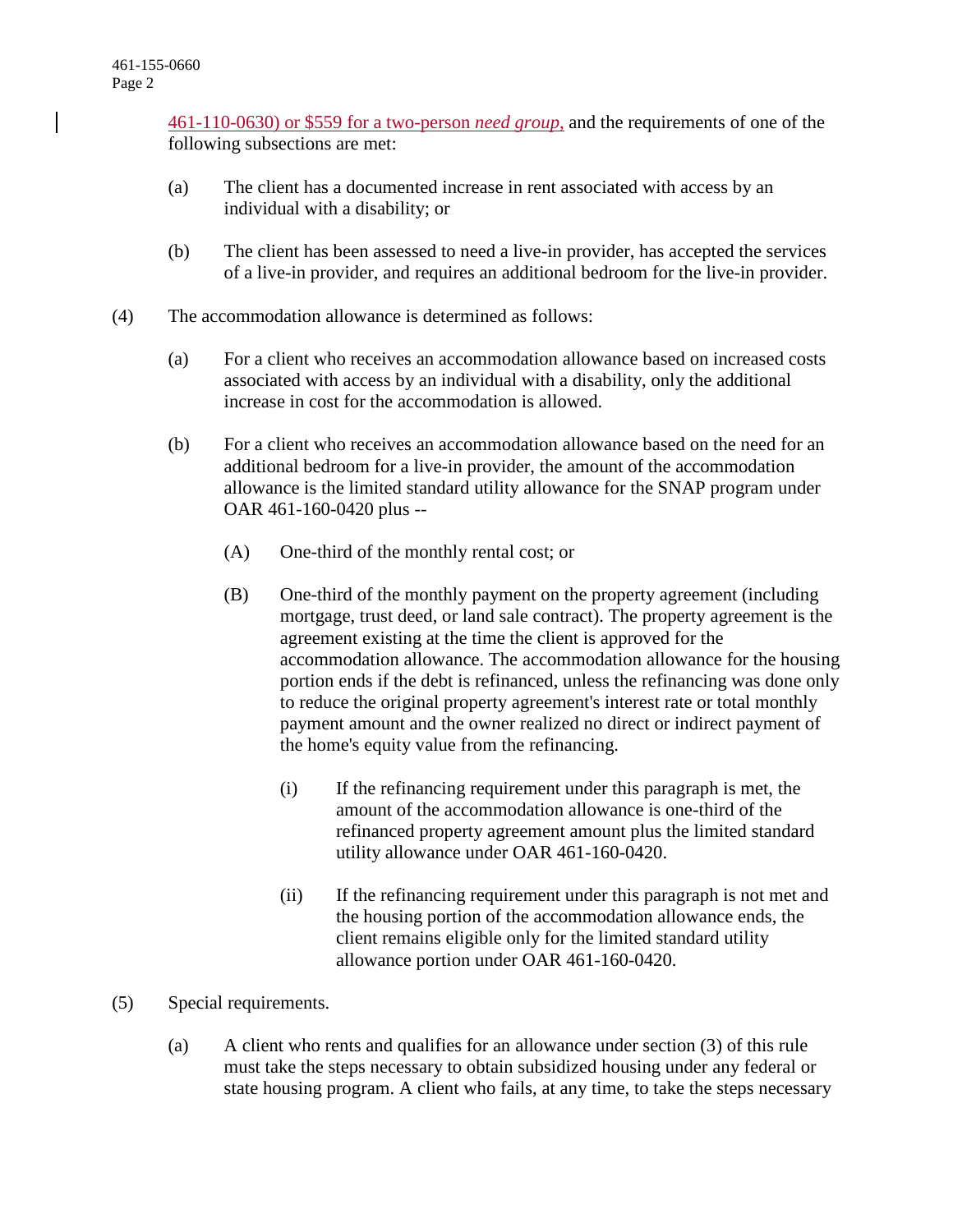[461-110-0630\)](https://apps.state.or.us/cf1/caf/arm/A/461-110-0630.htm) or \$559 for a two-person *need group*, and the requirements of one of the following subsections are met:

- (a) The client has a documented increase in rent associated with access by an individual with a disability; or
- (b) The client has been assessed to need a live-in provider, has accepted the services of a live-in provider, and requires an additional bedroom for the live-in provider.
- (4) The accommodation allowance is determined as follows:
	- (a) For a client who receives an accommodation allowance based on increased costs associated with access by an individual with a disability, only the additional increase in cost for the accommodation is allowed.
	- (b) For a client who receives an accommodation allowance based on the need for an additional bedroom for a live-in provider, the amount of the accommodation allowance is the limited standard utility allowance for the SNAP program under OAR 461-160-0420 plus --
		- (A) One-third of the monthly rental cost; or
		- (B) One-third of the monthly payment on the property agreement (including mortgage, trust deed, or land sale contract). The property agreement is the agreement existing at the time the client is approved for the accommodation allowance. The accommodation allowance for the housing portion ends if the debt is refinanced, unless the refinancing was done only to reduce the original property agreement's interest rate or total monthly payment amount and the owner realized no direct or indirect payment of the home's equity value from the refinancing.
			- (i) If the refinancing requirement under this paragraph is met, the amount of the accommodation allowance is one-third of the refinanced property agreement amount plus the limited standard utility allowance under OAR 461-160-0420.
			- (ii) If the refinancing requirement under this paragraph is not met and the housing portion of the accommodation allowance ends, the client remains eligible only for the limited standard utility allowance portion under OAR 461-160-0420.
- (5) Special requirements.
	- (a) A client who rents and qualifies for an allowance under section (3) of this rule must take the steps necessary to obtain subsidized housing under any federal or state housing program. A client who fails, at any time, to take the steps necessary